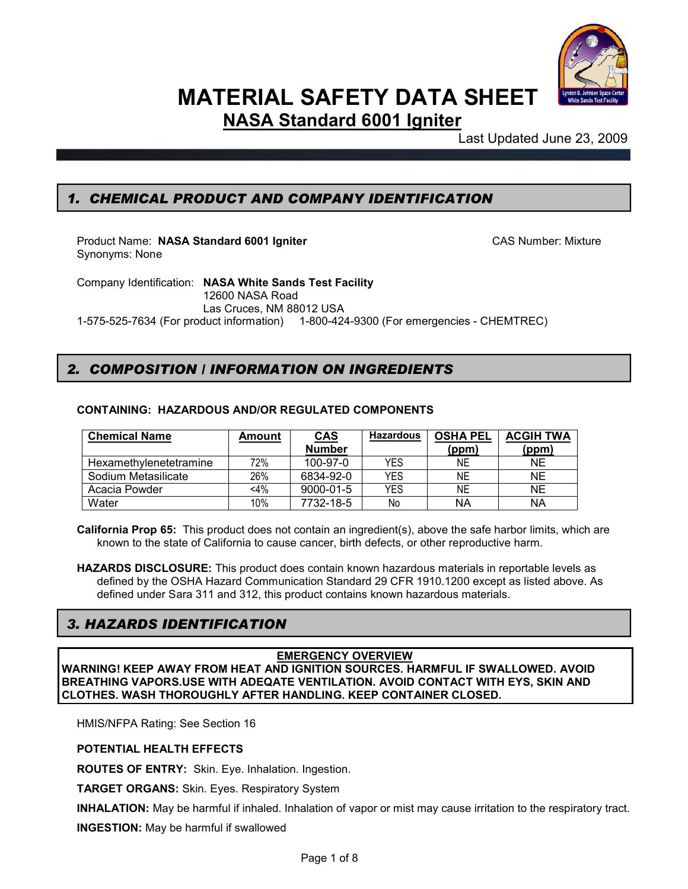

# **MATERIAL SAFETY DATA SHEET**

**NASA Standard 6001 Igniter**

Last Updated June 23, 2009

## *1. CHEMICAL PRODUCT AND COMPANY IDENTIFICATION*

Product Name: NASA Standard 6001 Igniter **CAS Number: Mixture** CAS Number: Mixture Synonyms: None

Company Identification: **NASA White Sands Test Facility** 12600 NASA Road Las Cruces, NM 88012 USA 1-575-525-7634 (For product information) 1-800-424-9300 (For emergencies - CHEMTREC)

### *2. COMPOSITION / INFORMATION ON INGREDIENTS*

### **CONTAINING: HAZARDOUS AND/OR REGULATED COMPONENTS**

| <b>Chemical Name</b>   | Amount | <b>CAS</b>      | <b>Hazardous</b> | <b>OSHA PEL</b> | <b>ACGIH TWA</b> |
|------------------------|--------|-----------------|------------------|-----------------|------------------|
|                        |        | <b>Number</b>   |                  | (ppm)           | (ppm)            |
| Hexamethylenetetramine | 72%    | 100-97-0        | YES              | ΝE              | NE               |
| Sodium Metasilicate    | 26%    | 6834-92-0       | YES              | ΝE              | <b>NE</b>        |
| Acacia Powder          | $<$ 4% | $9000 - 01 - 5$ | YES              | ΝE              | <b>NE</b>        |
| Water                  | 10%    | 7732-18-5       | No               | ΝA              | ΝA               |

**California Prop 65:** This product does not contain an ingredient(s), above the safe harbor limits, which are known to the state of California to cause cancer, birth defects, or other reproductive harm.

**HAZARDS DISCLOSURE:** This product does contain known hazardous materials in reportable levels as defined by the OSHA Hazard Communication Standard 29 CFR 1910.1200 except as listed above. As defined under Sara 311 and 312, this product contains known hazardous materials.

### *3. HAZARDS IDENTIFICATION*

### **EMERGENCY OVERVIEW**

**WARNING! KEEP AWAY FROM HEAT AND IGNITION SOURCES. HARMFUL IF SWALLOWED. AVOID BREATHING VAPORS.USE WITH ADEQATE VENTILATION. AVOID CONTACT WITH EYS, SKIN AND CLOTHES. WASH THOROUGHLY AFTER HANDLING. KEEP CONTAINER CLOSED.**

HMIS/NFPA Rating: See Section 16

### **POTENTIAL HEALTH EFFECTS**

**ROUTES OF ENTRY:** Skin. Eye. Inhalation. Ingestion.

**TARGET ORGANS:** Skin. Eyes. Respiratory System

**INHALATION:** May be harmful if inhaled. Inhalation of vapor or mist may cause irritation to the respiratory tract.

**INGESTION:** May be harmful if swallowed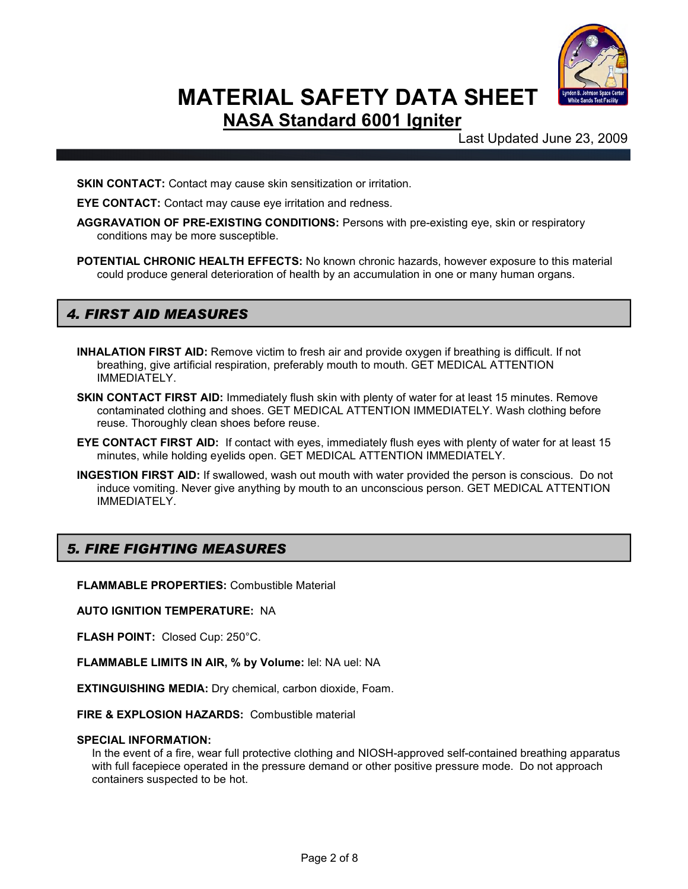

Last Updated June 23, 2009

**SKIN CONTACT:** Contact may cause skin sensitization or irritation.

**EYE CONTACT:** Contact may cause eye irritation and redness.

- **AGGRAVATION OF PRE-EXISTING CONDITIONS:** Persons with pre-existing eye, skin or respiratory conditions may be more susceptible.
- **POTENTIAL CHRONIC HEALTH EFFECTS:** No known chronic hazards, however exposure to this material could produce general deterioration of health by an accumulation in one or many human organs.

### *4. FIRST AID MEASURES*

- **INHALATION FIRST AID:** Remove victim to fresh air and provide oxygen if breathing is difficult. If not breathing, give artificial respiration, preferably mouth to mouth. GET MEDICAL ATTENTION IMMEDIATELY.
- **SKIN CONTACT FIRST AID:** Immediately flush skin with plenty of water for at least 15 minutes. Remove contaminated clothing and shoes. GET MEDICAL ATTENTION IMMEDIATELY. Wash clothing before reuse. Thoroughly clean shoes before reuse.
- **EYE CONTACT FIRST AID:** If contact with eyes, immediately flush eyes with plenty of water for at least 15 minutes, while holding eyelids open. GET MEDICAL ATTENTION IMMEDIATELY.
- **INGESTION FIRST AID:** If swallowed, wash out mouth with water provided the person is conscious. Do not induce vomiting. Never give anything by mouth to an unconscious person. GET MEDICAL ATTENTION IMMEDIATELY.

### *5. FIRE FIGHTING MEASURES*

**FLAMMABLE PROPERTIES:** Combustible Material

**AUTO IGNITION TEMPERATURE:** NA

**FLASH POINT:** Closed Cup: 250°C.

**FLAMMABLE LIMITS IN AIR, % by Volume:** lel: NA uel: NA

**EXTINGUISHING MEDIA:** Dry chemical, carbon dioxide, Foam.

**FIRE & EXPLOSION HAZARDS:** Combustible material

#### **SPECIAL INFORMATION:**

In the event of a fire, wear full protective clothing and NIOSH-approved self-contained breathing apparatus with full facepiece operated in the pressure demand or other positive pressure mode. Do not approach containers suspected to be hot.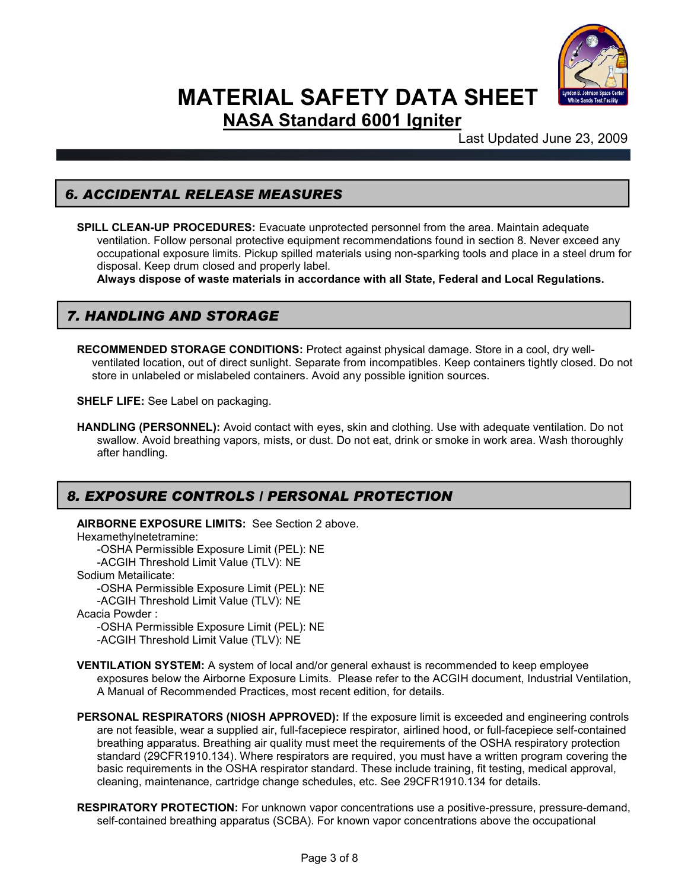

Last Updated June 23, 2009

### *6. ACCIDENTAL RELEASE MEASURES*

**SPILL CLEAN-UP PROCEDURES:** Evacuate unprotected personnel from the area. Maintain adequate ventilation. Follow personal protective equipment recommendations found in section 8. Never exceed any occupational exposure limits. Pickup spilled materials using non-sparking tools and place in a steel drum for disposal. Keep drum closed and properly label.

**Always dispose of waste materials in accordance with all State, Federal and Local Regulations.**

### *7. HANDLING AND STORAGE*

**RECOMMENDED STORAGE CONDITIONS:** Protect against physical damage. Store in a cool, dry wellventilated location, out of direct sunlight. Separate from incompatibles. Keep containers tightly closed. Do not store in unlabeled or mislabeled containers. Avoid any possible ignition sources.

**SHELF LIFE:** See Label on packaging.

**HANDLING (PERSONNEL):** Avoid contact with eyes, skin and clothing. Use with adequate ventilation. Do not swallow. Avoid breathing vapors, mists, or dust. Do not eat, drink or smoke in work area. Wash thoroughly after handling.

## *8. EXPOSURE CONTROLS / PERSONAL PROTECTION*

**AIRBORNE EXPOSURE LIMITS:** See Section 2 above.

Hexamethylnetetramine: -OSHA Permissible Exposure Limit (PEL): NE -ACGIH Threshold Limit Value (TLV): NE Sodium Metailicate: -OSHA Permissible Exposure Limit (PEL): NE -ACGIH Threshold Limit Value (TLV): NE

Acacia Powder :

-OSHA Permissible Exposure Limit (PEL): NE -ACGIH Threshold Limit Value (TLV): NE

- 
- **VENTILATION SYSTEM:** A system of local and/or general exhaust is recommended to keep employee exposures below the Airborne Exposure Limits. Please refer to the ACGIH document, Industrial Ventilation, A Manual of Recommended Practices, most recent edition, for details.
- **PERSONAL RESPIRATORS (NIOSH APPROVED):** If the exposure limit is exceeded and engineering controls are not feasible, wear a supplied air, full-facepiece respirator, airlined hood, or full-facepiece self-contained breathing apparatus. Breathing air quality must meet the requirements of the OSHA respiratory protection standard (29CFR1910.134). Where respirators are required, you must have a written program covering the basic requirements in the OSHA respirator standard. These include training, fit testing, medical approval, cleaning, maintenance, cartridge change schedules, etc. See 29CFR1910.134 for details.
- **RESPIRATORY PROTECTION:** For unknown vapor concentrations use a positive-pressure, pressure-demand, self-contained breathing apparatus (SCBA). For known vapor concentrations above the occupational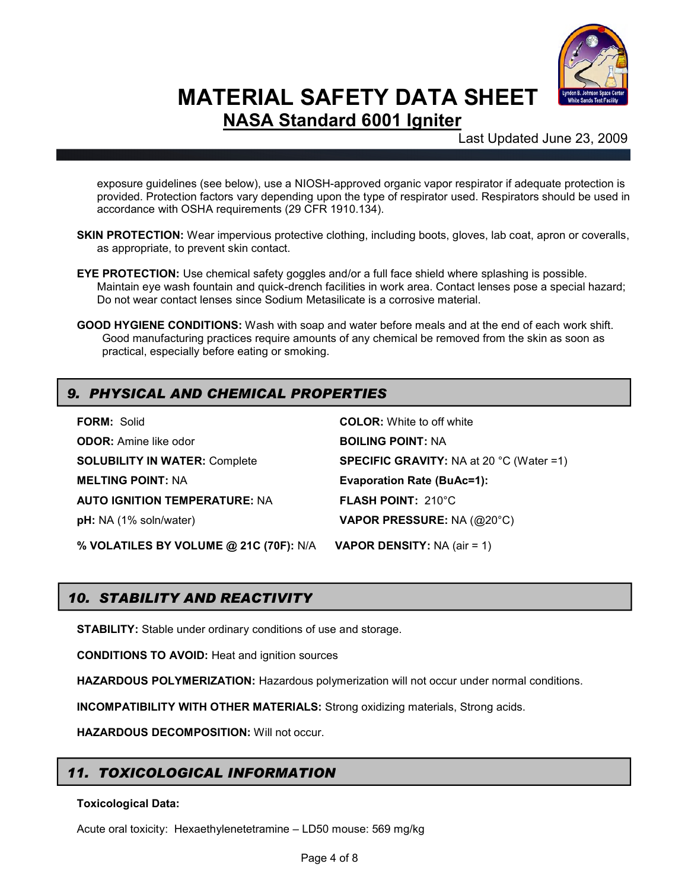

Last Updated June 23, 2009

exposure guidelines (see below), use a NIOSH-approved organic vapor respirator if adequate protection is provided. Protection factors vary depending upon the type of respirator used. Respirators should be used in accordance with OSHA requirements (29 CFR 1910.134).

- **SKIN PROTECTION:** Wear impervious protective clothing, including boots, gloves, lab coat, apron or coveralls, as appropriate, to prevent skin contact.
- **EYE PROTECTION:** Use chemical safety goggles and/or a full face shield where splashing is possible. Maintain eye wash fountain and quick-drench facilities in work area. Contact lenses pose a special hazard; Do not wear contact lenses since Sodium Metasilicate is a corrosive material.
- **GOOD HYGIENE CONDITIONS:** Wash with soap and water before meals and at the end of each work shift. Good manufacturing practices require amounts of any chemical be removed from the skin as soon as practical, especially before eating or smoking.

# *9. PHYSICAL AND CHEMICAL PROPERTIES*

| <b>FORM: Solid</b>                     | <b>COLOR:</b> White to off white                          |
|----------------------------------------|-----------------------------------------------------------|
| <b>ODOR:</b> Amine like odor           | <b>BOILING POINT: NA</b>                                  |
| <b>SOLUBILITY IN WATER: Complete</b>   | <b>SPECIFIC GRAVITY:</b> NA at 20 $^{\circ}$ C (Water =1) |
| <b>MELTING POINT: NA</b>               | <b>Evaporation Rate (BuAc=1):</b>                         |
| <b>AUTO IGNITION TEMPERATURE: NA</b>   | <b>FLASH POINT: 210°C</b>                                 |
| pH: NA (1% soln/water)                 | VAPOR PRESSURE: NA (@20°C)                                |
| % VOLATILES BY VOLUME @ 21C (70F): N/A | <b>VAPOR DENSITY:</b> NA (air = 1)                        |

# *10. STABILITY AND REACTIVITY*

**STABILITY:** Stable under ordinary conditions of use and storage.

**CONDITIONS TO AVOID:** Heat and ignition sources

**HAZARDOUS POLYMERIZATION:** Hazardous polymerization will not occur under normal conditions.

**INCOMPATIBILITY WITH OTHER MATERIALS:** Strong oxidizing materials, Strong acids.

**HAZARDOUS DECOMPOSITION:** Will not occur.

## *11. TOXICOLOGICAL INFORMATION*

### **Toxicological Data:**

Acute oral toxicity: Hexaethylenetetramine – LD50 mouse: 569 mg/kg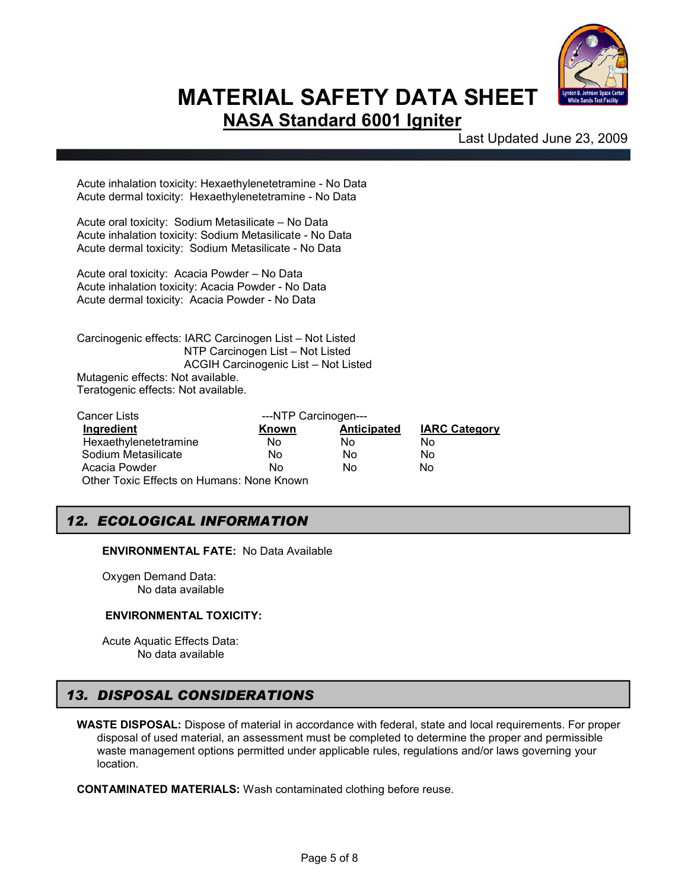

Last Updated June 23, 2009

Acute inhalation toxicity: Hexaethylenetetramine - No Data Acute dermal toxicity: Hexaethylenetetramine - No Data

Acute oral toxicity: Sodium Metasilicate – No Data Acute inhalation toxicity: Sodium Metasilicate - No Data Acute dermal toxicity: Sodium Metasilicate - No Data

Acute oral toxicity: Acacia Powder – No Data Acute inhalation toxicity: Acacia Powder - No Data Acute dermal toxicity: Acacia Powder - No Data

Carcinogenic effects: IARC Carcinogen List – Not Listed NTP Carcinogen List – Not Listed ACGIH Carcinogenic List – Not Listed Mutagenic effects: Not available. Teratogenic effects: Not available.

| Cancer Lists                              | ---NTP Carcinogen--- |             |                      |  |  |
|-------------------------------------------|----------------------|-------------|----------------------|--|--|
| Ingredient                                | Known                | Anticipated | <b>IARC Category</b> |  |  |
| Hexaethylenetetramine                     | No                   | No          | No                   |  |  |
| Sodium Metasilicate                       | No                   | No          | No                   |  |  |
| Acacia Powder                             | Nο                   | Nο          | No                   |  |  |
| Other Toxic Effects on Humans: None Known |                      |             |                      |  |  |

## *12. ECOLOGICAL INFORMATION*

**ENVIRONMENTAL FATE:** No Data Available

Oxygen Demand Data: No data available

#### **ENVIRONMENTAL TOXICITY:**

Acute Aquatic Effects Data: No data available

# *13. DISPOSAL CONSIDERATIONS*

**WASTE DISPOSAL:** Dispose of material in accordance with federal, state and local requirements. For proper disposal of used material, an assessment must be completed to determine the proper and permissible waste management options permitted under applicable rules, regulations and/or laws governing your location.

**CONTAMINATED MATERIALS:** Wash contaminated clothing before reuse.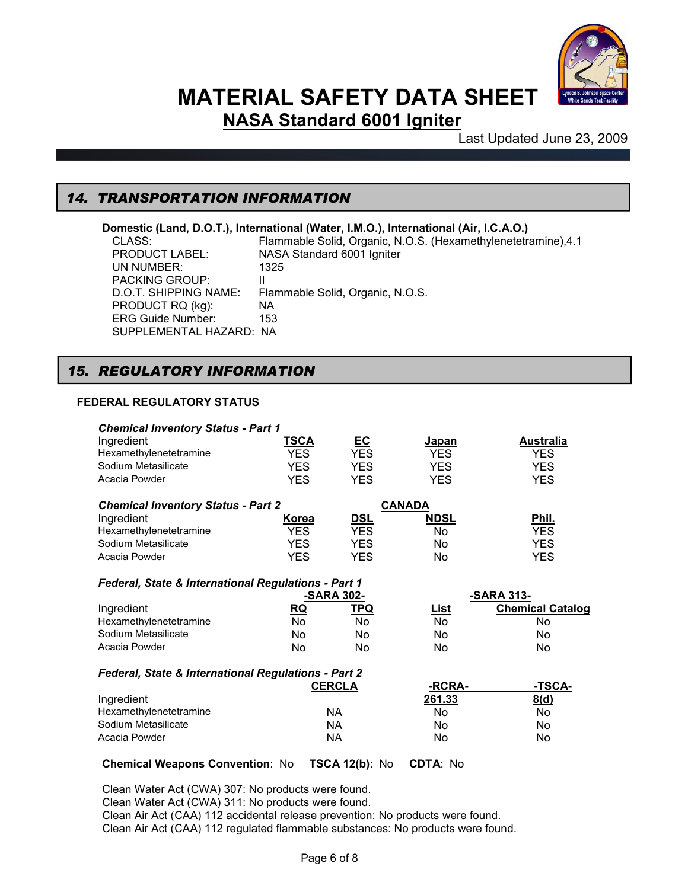

Last Updated June 23, 2009

### *14. TRANSPORTATION INFORMATION*

# **Domestic (Land, D.O.T.), International (Water, I.M.O.), International (Air, I.C.A.O.)**<br>CLASS: Flammable Solid, Organic, N.O.S. (Hexamethylenetetra

Flammable Solid, Organic, N.O.S. (Hexamethylenetetramine), 4.1 PRODUCT LABEL: NASA Standard 6001 Igniter UN NUMBER: 1325 PACKING GROUP: II D.O.T. SHIPPING NAME: Flammable Solid, Organic, N.O.S. PRODUCT RQ (kg): NA ERG Guide Number: 153 SUPPLEMENTAL HAZARD: NA

### *15. REGULATORY INFORMATION*

### **FEDERAL REGULATORY STATUS**

I

| <b>Chemical Inventory Status - Part 1</b>           |              |               |               |                         |
|-----------------------------------------------------|--------------|---------------|---------------|-------------------------|
| Ingredient                                          | <u>TSCA</u>  | <u>EC</u>     | <u>Japan</u>  | <b>Australia</b>        |
| Hexamethylenetetramine                              | <b>YES</b>   | <b>YES</b>    | <b>YES</b>    | <b>YES</b>              |
| Sodium Metasilicate                                 | <b>YES</b>   | YES.          | <b>YES</b>    | <b>YES</b>              |
| Acacia Powder                                       | <b>YES</b>   | <b>YES</b>    | <b>YES</b>    | <b>YES</b>              |
| <b>Chemical Inventory Status - Part 2</b>           |              |               | <b>CANADA</b> |                         |
| Ingredient                                          | <u>Korea</u> | <u>DSL</u>    | <u>NDSL</u>   | Phil.                   |
| Hexamethylenetetramine                              | <b>YES</b>   | <b>YES</b>    | No            | YES.                    |
| Sodium Metasilicate                                 | <b>YES</b>   | <b>YES</b>    | No            | <b>YES</b>              |
| Acacia Powder                                       | <b>YES</b>   | <b>YES</b>    | No.           | <b>YES</b>              |
| Federal, State & International Regulations - Part 1 |              |               |               |                         |
|                                                     |              | -SARA 302-    |               | -SARA 313-              |
| Ingredient                                          | <u>RQ</u>    | <b>TPQ</b>    | <u>List</u>   | <b>Chemical Catalog</b> |
| Hexamethylenetetramine                              | No           | No.           | No            | No                      |
| Sodium Metasilicate                                 | No           | No            | No            | No                      |
| Acacia Powder                                       | No           | No            | No            | No                      |
|                                                     |              |               |               |                         |
| Federal, State & International Regulations - Part 2 |              |               |               |                         |
|                                                     |              | <b>CERCLA</b> | -RCRA-        | -TSCA-                  |
| Ingredient                                          |              |               | 261.33        | 8(d)                    |
| Hexamethylenetetramine                              |              | NA.           | No            | No                      |
| Sodium Metasilicate                                 |              | NA.           | No.           | No.                     |
| Acacia Powder                                       |              | ΝA            | No.           | No                      |

#### **Chemical Weapons Convention**: No **TSCA 12(b)**: No **CDTA**: No

Clean Water Act (CWA) 307: No products were found. Clean Water Act (CWA) 311: No products were found. Clean Air Act (CAA) 112 accidental release prevention: No products were found. Clean Air Act (CAA) 112 regulated flammable substances: No products were found.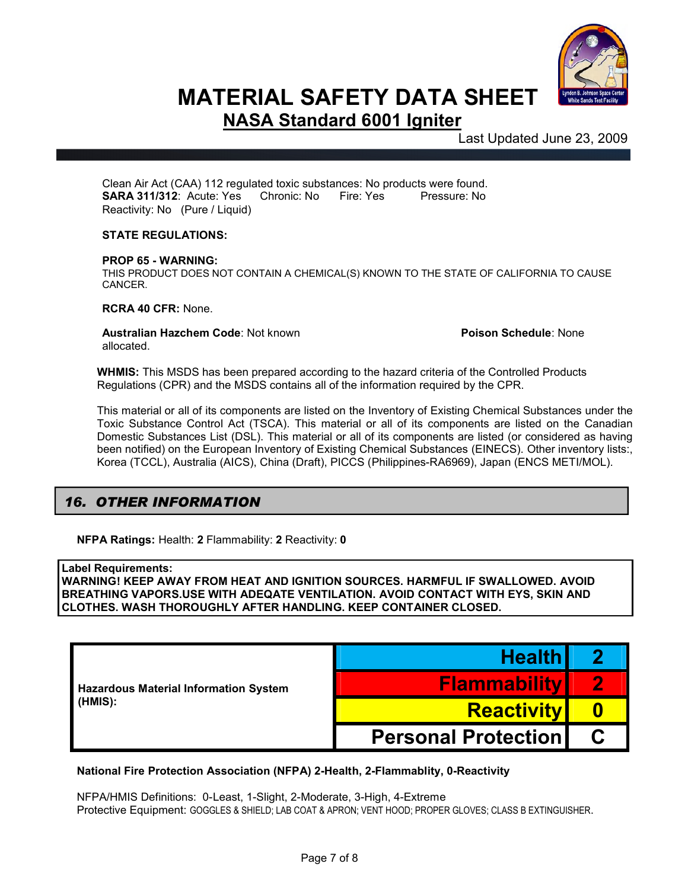

Last Updated June 23, 2009

Clean Air Act (CAA) 112 regulated toxic substances: No products were found. **SARA 311/312:** Acute: Yes Chronic: No Fire: Yes Pressure: No Reactivity: No (Pure / Liquid)

### **STATE REGULATIONS:**

#### **PROP 65 - WARNING:**

THIS PRODUCT DOES NOT CONTAIN A CHEMICAL(S) KNOWN TO THE STATE OF CALIFORNIA TO CAUSE CANCER.

**RCRA 40 CFR:** None.

**Australian Hazchem Code: Not known <b>Poison Schedule**: None allocated.

**WHMIS:** This MSDS has been prepared according to the hazard criteria of the Controlled Products Regulations (CPR) and the MSDS contains all of the information required by the CPR.

This material or all of its components are listed on the Inventory of Existing Chemical Substances under the Toxic Substance Control Act (TSCA). This material or all of its components are listed on the Canadian Domestic Substances List (DSL). This material or all of its components are listed (or considered as having been notified) on the European Inventory of Existing Chemical Substances (EINECS). Other inventory lists:, Korea (TCCL), Australia (AICS), China (Draft), PICCS (Philippines-RA6969), Japan (ENCS METI/MOL).

## *16. OTHER INFORMATION*

**NFPA Ratings:** Health: **2** Flammability: **2** Reactivity: **0**

#### **Label Requirements:**

**WARNING! KEEP AWAY FROM HEAT AND IGNITION SOURCES. HARMFUL IF SWALLOWED. AVOID BREATHING VAPORS.USE WITH ADEQATE VENTILATION. AVOID CONTACT WITH EYS, SKIN AND CLOTHES. WASH THOROUGHLY AFTER HANDLING. KEEP CONTAINER CLOSED.**

|                                              | <b>Health</b>                            |  |
|----------------------------------------------|------------------------------------------|--|
| <b>Hazardous Material Information System</b> | <b>Flammability</b><br><b>Reactivity</b> |  |
| (HMIS):                                      |                                          |  |
|                                              | <b>Personal Protection I</b>             |  |

#### **National Fire Protection Association (NFPA) 2-Health, 2-Flammablity, 0-Reactivity**

NFPA/HMIS Definitions: 0-Least, 1-Slight, 2-Moderate, 3-High, 4-Extreme Protective Equipment: GOGGLES & SHIELD; LAB COAT & APRON; VENT HOOD; PROPER GLOVES; CLASS B EXTINGUISHER.